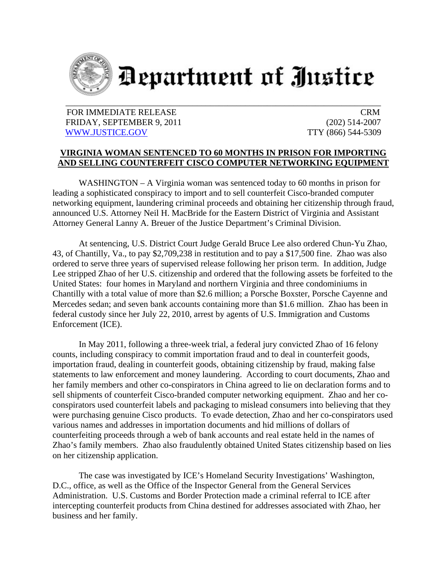

## Department of Justice

## FOR IMMEDIATE RELEASE CRM FRIDAY, SEPTEMBER 9, 2011 (202) 514-2007 WWW.JUSTICE.GOV TTY (866) 544-5309

## **VIRGINIA WOMAN SENTENCED TO 60 MONTHS IN PRISON FOR IMPORTING AND SELLING COUNTERFEIT CISCO COMPUTER NETWORKING EQUIPMENT**

WASHINGTON – A Virginia woman was sentenced today to 60 months in prison for leading a sophisticated conspiracy to import and to sell counterfeit Cisco-branded computer networking equipment, laundering criminal proceeds and obtaining her citizenship through fraud, announced U.S. Attorney Neil H. MacBride for the Eastern District of Virginia and Assistant Attorney General Lanny A. Breuer of the Justice Department's Criminal Division.

 At sentencing, U.S. District Court Judge Gerald Bruce Lee also ordered Chun-Yu Zhao, 43, of Chantilly, Va., to pay \$2,709,238 in restitution and to pay a \$17,500 fine. Zhao was also ordered to serve three years of supervised release following her prison term. In addition, Judge Lee stripped Zhao of her U.S. citizenship and ordered that the following assets be forfeited to the United States: four homes in Maryland and northern Virginia and three condominiums in Chantilly with a total value of more than \$2.6 million; a Porsche Boxster, Porsche Cayenne and Mercedes sedan; and seven bank accounts containing more than \$1.6 million. Zhao has been in federal custody since her July 22, 2010, arrest by agents of U.S. Immigration and Customs Enforcement (ICE).

 In May 2011, following a three-week trial, a federal jury convicted Zhao of 16 felony counts, including conspiracy to commit importation fraud and to deal in counterfeit goods, importation fraud, dealing in counterfeit goods, obtaining citizenship by fraud, making false statements to law enforcement and money laundering. According to court documents, Zhao and her family members and other co-conspirators in China agreed to lie on declaration forms and to sell shipments of counterfeit Cisco-branded computer networking equipment. Zhao and her coconspirators used counterfeit labels and packaging to mislead consumers into believing that they were purchasing genuine Cisco products. To evade detection, Zhao and her co-conspirators used various names and addresses in importation documents and hid millions of dollars of counterfeiting proceeds through a web of bank accounts and real estate held in the names of Zhao's family members. Zhao also fraudulently obtained United States citizenship based on lies on her citizenship application.

 The case was investigated by ICE's Homeland Security Investigations' Washington, D.C., office, as well as the Office of the Inspector General from the General Services Administration. U.S. Customs and Border Protection made a criminal referral to ICE after intercepting counterfeit products from China destined for addresses associated with Zhao, her business and her family.